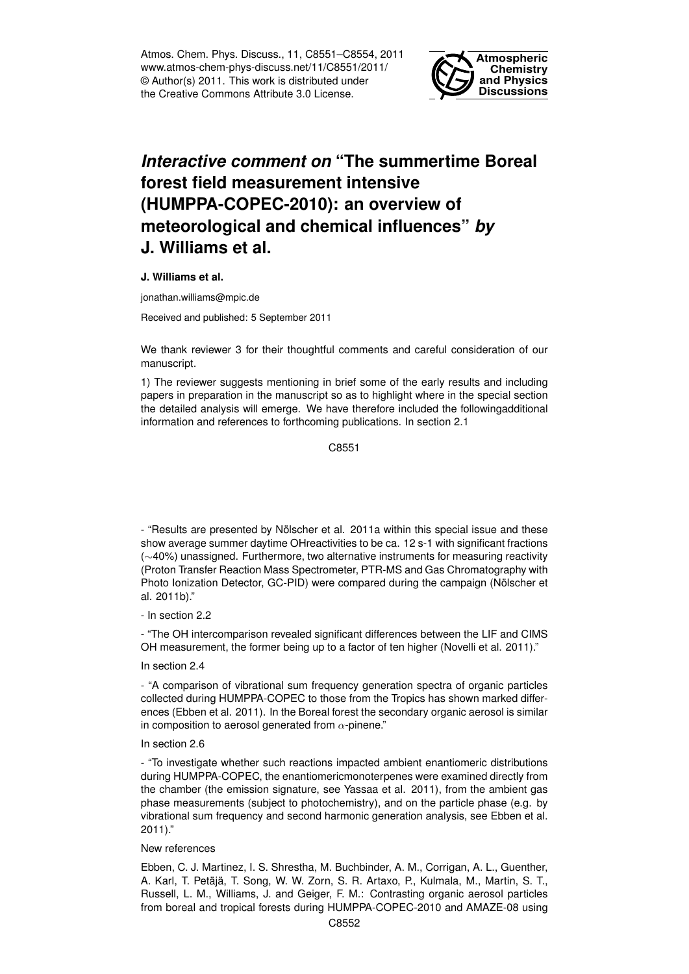Atmos. Chem. Phys. Discuss., 11, C8551–C8554, 2011 www.atmos-chem-phys-discuss.net/11/C8551/2011/ © Author(s) 2011. This work is distributed under the Creative Commons Attribute 3.0 License.



## *Interactive comment on* **"The summertime Boreal forest field measurement intensive (HUMPPA-COPEC-2010): an overview of meteorological and chemical influences"** *by* **J. Williams et al.**

**J. Williams et al.**

jonathan.williams@mpic.de

Received and published: 5 September 2011

We thank reviewer 3 for their thoughtful comments and careful consideration of our manuscript.

1) The reviewer suggests mentioning in brief some of the early results and including papers in preparation in the manuscript so as to highlight where in the special section the detailed analysis will emerge. We have therefore included the followingadditional information and references to forthcoming publications. In section 2.1

C8551

- "Results are presented by Nölscher et al. 2011a within this special issue and these show average summer daytime OHreactivities to be ca. 12 s-1 with significant fractions (∼40%) unassigned. Furthermore, two alternative instruments for measuring reactivity (Proton Transfer Reaction Mass Spectrometer, PTR-MS and Gas Chromatography with Photo Ionization Detector, GC-PID) were compared during the campaign (Nölscher et al. 2011b)."

- In section 2.2

- "The OH intercomparison revealed significant differences between the LIF and CIMS OH measurement, the former being up to a factor of ten higher (Novelli et al. 2011)."

## In section 2.4

- "A comparison of vibrational sum frequency generation spectra of organic particles collected during HUMPPA-COPEC to those from the Tropics has shown marked differences (Ebben et al. 2011). In the Boreal forest the secondary organic aerosol is similar in composition to aerosol generated from  $\alpha$ -pinene."

## In section 2.6

- "To investigate whether such reactions impacted ambient enantiomeric distributions during HUMPPA-COPEC, the enantiomericmonoterpenes were examined directly from the chamber (the emission signature, see Yassaa et al. 2011), from the ambient gas phase measurements (subject to photochemistry), and on the particle phase (e.g. by vibrational sum frequency and second harmonic generation analysis, see Ebben et al. 2011)."

## New references

Ebben, C. J. Martinez, I. S. Shrestha, M. Buchbinder, A. M., Corrigan, A. L., Guenther, A. Karl, T. Petäjä, T. Song, W. W. Zorn, S. R. Artaxo, P., Kulmala, M., Martin, S. T., Russell, L. M., Williams, J. and Geiger, F. M.: Contrasting organic aerosol particles from boreal and tropical forests during HUMPPA-COPEC-2010 and AMAZE-08 using